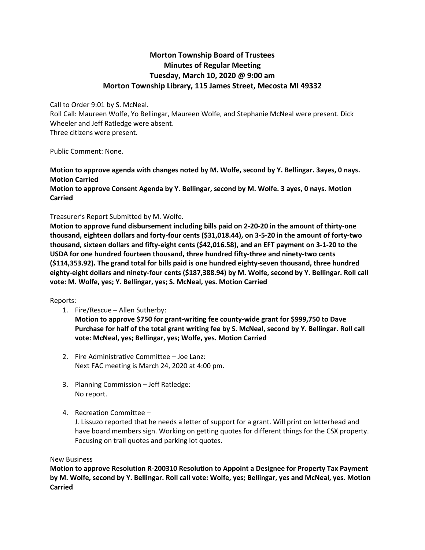## **Morton Township Board of Trustees Minutes of Regular Meeting Tuesday, March 10, 2020 @ 9:00 am Morton Township Library, 115 James Street, Mecosta MI 49332**

Call to Order 9:01 by S. McNeal.

Roll Call: Maureen Wolfe, Yo Bellingar, Maureen Wolfe, and Stephanie McNeal were present. Dick Wheeler and Jeff Ratledge were absent.

Three citizens were present.

Public Comment: None.

**Motion to approve agenda with changes noted by M. Wolfe, second by Y. Bellingar. 3ayes, 0 nays. Motion Carried**

**Motion to approve Consent Agenda by Y. Bellingar, second by M. Wolfe. 3 ayes, 0 nays. Motion Carried**

## Treasurer's Report Submitted by M. Wolfe.

**Motion to approve fund disbursement including bills paid on 2-20-20 in the amount of thirty-one thousand, eighteen dollars and forty-four cents (\$31,018.44), on 3-5-20 in the amount of forty-two thousand, sixteen dollars and fifty-eight cents (\$42,016.58), and an EFT payment on 3-1-20 to the USDA for one hundred fourteen thousand, three hundred fifty-three and ninety-two cents (\$114,353.92). The grand total for bills paid is one hundred eighty-seven thousand, three hundred eighty-eight dollars and ninety-four cents (\$187,388.94) by M. Wolfe, second by Y. Bellingar. Roll call vote: M. Wolfe, yes; Y. Bellingar, yes; S. McNeal, yes. Motion Carried**

Reports:

1. Fire/Rescue – Allen Sutherby:

**Motion to approve \$750 for grant-writing fee county-wide grant for \$999,750 to Dave Purchase for half of the total grant writing fee by S. McNeal, second by Y. Bellingar. Roll call vote: McNeal, yes; Bellingar, yes; Wolfe, yes. Motion Carried**

- 2. Fire Administrative Committee Joe Lanz: Next FAC meeting is March 24, 2020 at 4:00 pm.
- 3. Planning Commission Jeff Ratledge: No report.
- 4. Recreation Committee –

J. Lissuzo reported that he needs a letter of support for a grant. Will print on letterhead and have board members sign. Working on getting quotes for different things for the CSX property. Focusing on trail quotes and parking lot quotes.

## New Business

**Motion to approve Resolution R-200310 Resolution to Appoint a Designee for Property Tax Payment by M. Wolfe, second by Y. Bellingar. Roll call vote: Wolfe, yes; Bellingar, yes and McNeal, yes. Motion Carried**